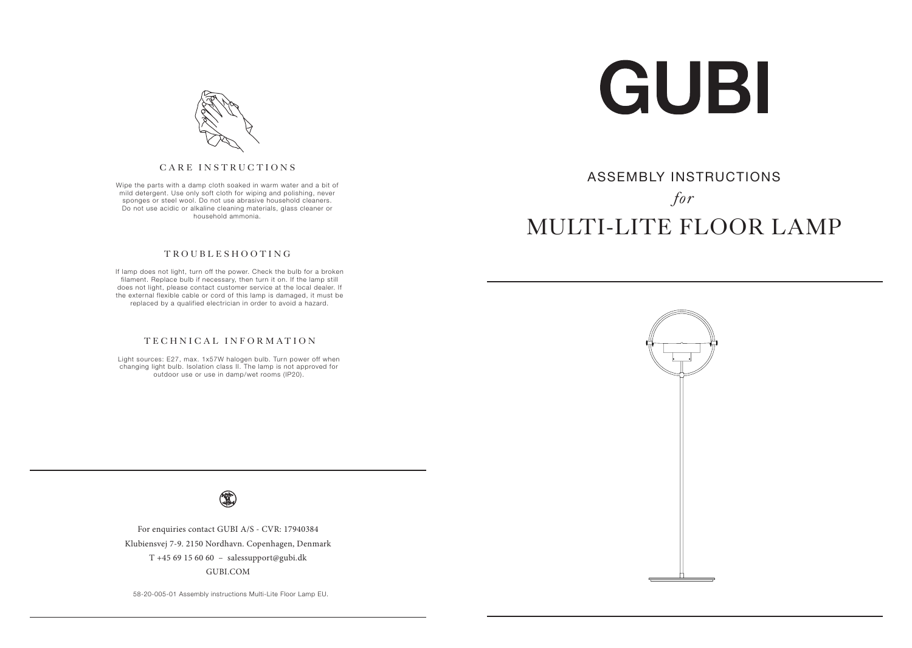

## ASSEMBLY INSTRUCTIONS *for* MULTI-LITE FLOOR LAMP



#### CARE INSTRUCTIONS

Wipe the parts with a damp cloth soaked in warm water and a bit of mild detergent. Use only soft cloth for wiping and polishing, never sponges or steel wool. Do not use abrasive household cleaners. Do not use acidic or alkaline cleaning materials, glass cleaner or household ammonia.

#### TROUBLESHOOTING

 If lamp does not light, turn off the power. Check the bulb for a broken filament. Replace bulb if necessary, then turn it on. If the lamp still does not light, please contact customer service at the local dealer. If the external flexible cable or cord of this lamp is damaged, it must be replaced by a qualified electrician in order to avoid a hazard.

#### TECHNICAL INFORMATION

Light sources: E27, max. 1x57W halogen bulb. Turn power off when changing light bulb. Isolation class II. The lamp is not approved for outdoor use or use in damp/wet rooms (IP20).



For enquiries contact GUBI A/S - CVR: 17940384 Klubiensvej 7-9. 2150 Nordhavn. Copenhagen, Denmark T +45 69 15 60 60 – salessupport@gubi.dk GUBI.COM

58-20-005-01 Assembly instructions Multi-Lite Floor Lamp EU.